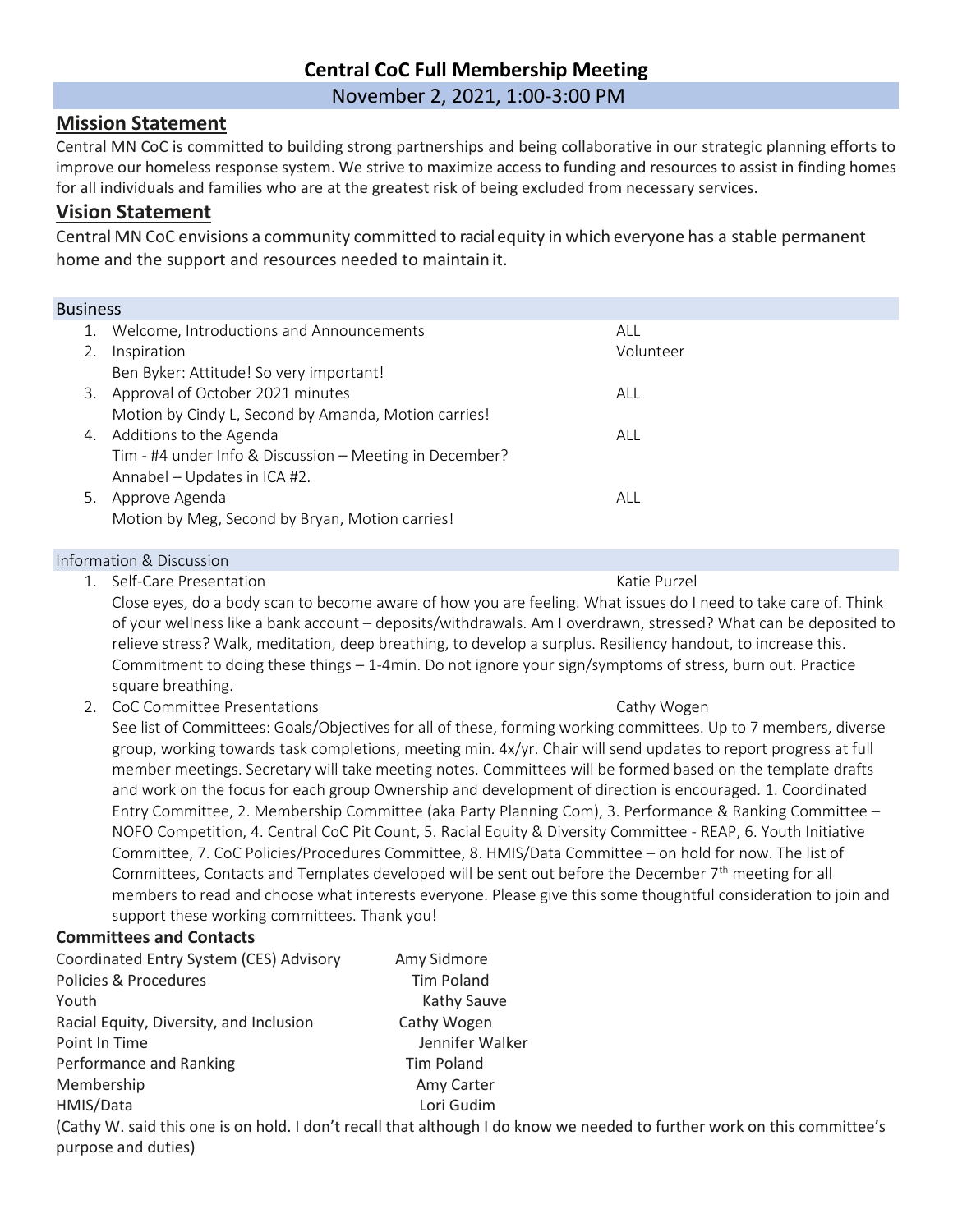# **Central CoC Full Membership Meeting** November 2, 2021, 1:00-3:00 PM

# **Mission Statement**

Central MN CoC is committed to building strong partnerships and being collaborative in our strategic planning efforts to improve our homeless response system. We strive to maximize access to funding and resources to assist in finding homes for all individuals and families who are at the greatest risk of being excluded from necessary services.

# **Vision Statement**

Central MN CoC envisions a community committed to racialequity in which everyone has a stable permanent home and the support and resources needed to maintain it.

## Business

| 1. | Welcome, Introductions and Announcements                | ALL       |
|----|---------------------------------------------------------|-----------|
| 2. | Inspiration                                             | Volunteer |
|    | Ben Byker: Attitude! So very important!                 |           |
|    | 3. Approval of October 2021 minutes                     | ALL       |
|    | Motion by Cindy L, Second by Amanda, Motion carries!    |           |
|    | 4. Additions to the Agenda                              | ALL       |
|    | Tim - #4 under Info & Discussion - Meeting in December? |           |
|    | Annabel - Updates in ICA #2.                            |           |
|    | 5. Approve Agenda                                       | ALL       |
|    | Motion by Meg, Second by Bryan, Motion carries!         |           |

### Information & Discussion

1. Self-Care Presentation **Katie Purzel** Self-Care Presentation

Close eyes, do a body scan to become aware of how you are feeling. What issues do I need to take care of. Think of your wellness like a bank account – deposits/withdrawals. Am I overdrawn, stressed? What can be deposited to relieve stress? Walk, meditation, deep breathing, to develop a surplus. Resiliency handout, to increase this. Commitment to doing these things – 1-4min. Do not ignore your sign/symptoms of stress, burn out. Practice square breathing.

2. CoC Committee Presentations Cathy Wogen Cathy Wogen

See list of Committees: Goals/Objectives for all of these, forming working committees. Up to 7 members, diverse group, working towards task completions, meeting min. 4x/yr. Chair will send updates to report progress at full member meetings. Secretary will take meeting notes. Committees will be formed based on the template drafts and work on the focus for each group Ownership and development of direction is encouraged. 1. Coordinated Entry Committee, 2. Membership Committee (aka Party Planning Com), 3. Performance & Ranking Committee – NOFO Competition, 4. Central CoC Pit Count, 5. Racial Equity & Diversity Committee - REAP, 6. Youth Initiative Committee, 7. CoC Policies/Procedures Committee, 8. HMIS/Data Committee – on hold for now. The list of Committees, Contacts and Templates developed will be sent out before the December  $7<sup>th</sup>$  meeting for all members to read and choose what interests everyone. Please give this some thoughtful consideration to join and support these working committees. Thank you!

## **Committees and Contacts**

| Coordinated Entry System (CES) Advisory                                           | Amy Sidmore       |
|-----------------------------------------------------------------------------------|-------------------|
| Policies & Procedures                                                             | Tim Poland        |
| Youth                                                                             | Kathy Sauve       |
| Racial Equity, Diversity, and Inclusion                                           | Cathy Wogen       |
| Point In Time                                                                     | Jennifer Walker   |
| Performance and Ranking                                                           | <b>Tim Poland</b> |
| Membership                                                                        | Amy Carter        |
| HMIS/Data                                                                         | Lori Gudim        |
| (Cathy W. said this one is on hold. I don't recall that although I do know we nee |                   |

ded to further work on this committee's purpose and duties)